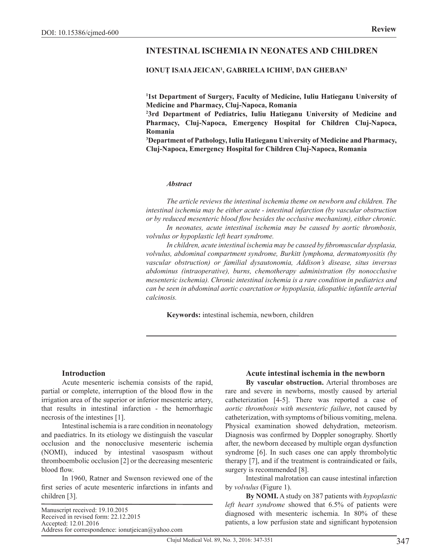# **INTESTINAL ISCHEMIA IN NEONATES AND CHILDREN**

## **IONUȚ ISAIA JEICAN<sup>1</sup> , GABRIELA ICHIM2 , DAN GHEBAN3**

**1 1st Department of Surgery, Faculty of Medicine, Iuliu Hatieganu University of Medicine and Pharmacy, Cluj-Napoca, Romania**

**2 3rd Department of Pediatrics, Iuliu Hatieganu University of Medicine and Pharmacy, Cluj-Napoca, Emergency Hospital for Children Cluj-Napoca, Romania**

**3 Department of Pathology, Iuliu Hatieganu University of Medicine and Pharmacy, Cluj-Napoca, Emergency Hospital for Children Cluj-Napoca, Romania**

#### *Abstract*

*The article reviews the intestinal ischemia theme on newborn and children. The intestinal ischemia may be either acute - intestinal infarction (by vascular obstruction or by reduced mesenteric blood flow besides the occlusive mechanism), either chronic.* 

*In neonates, acute intestinal ischemia may be caused by aortic thrombosis, volvulus or hypoplastic left heart syndrome.* 

*In children, acute intestinal ischemia may be caused by fibromuscular dysplasia, volvulus, abdominal compartment syndrome, Burkitt lymphoma, dermatomyositis (by vascular obstruction) or familial dysautonomia, Addison's disease, situs inversus abdominus (intraoperative), burns, chemotherapy administration (by nonocclusive mesenteric ischemia). Chronic intestinal ischemia is a rare condition in pediatrics and can be seen in abdominal aortic coarctation or hypoplasia, idiopathic infantile arterial calcinosis.*

**Keywords:** intestinal ischemia, newborn, children

#### **Introduction**

Acute mesenteric ischemia consists of the rapid, partial or complete, interruption of the blood flow in the irrigation area of the superior or inferior mesenteric artery, that results in intestinal infarction - the hemorrhagic necrosis of the intestines [1].

Intestinal ischemia is a rare condition in neonatology and paediatrics. In its etiology we distinguish the vascular occlusion and the nonocclusive mesenteric ischemia (NOMI), induced by intestinal vasospasm without thromboembolic occlusion [2] or the decreasing mesenteric blood flow.

In 1960, Ratner and Swenson reviewed one of the first series of acute mesenteric infarctions in infants and children [3].

Manuscript received: 19.10.2015 Received in revised form: 22.12.2015 Accepted: 12.01.2016 Address for correspondence: ionutjeican@yahoo.com

#### **Acute intestinal ischemia in the newborn**

**By vascular obstruction.** Arterial thromboses are rare and severe in newborns, mostly caused by arterial catheterization [4-5]. There was reported a case of *aortic thrombosis with mesenteric failure*, not caused by catheterization, with symptoms of bilious vomiting, melena. Physical examination showed dehydration, meteorism. Diagnosis was confirmed by Doppler sonography. Shortly after, the newborn deceased by multiple organ dysfunction syndrome [6]. In such cases one can apply thrombolytic therapy [7], and if the treatment is contraindicated or fails, surgery is recommended [8].

Intestinal malrotation can cause intestinal infarction by *volvulus* (Figure 1).

**By NOMI.** A study on 387 patients with *hypoplastic left heart syndrome* showed that 6.5% of patients were diagnosed with mesenteric ischemia. In 80% of these patients, a low perfusion state and significant hypotension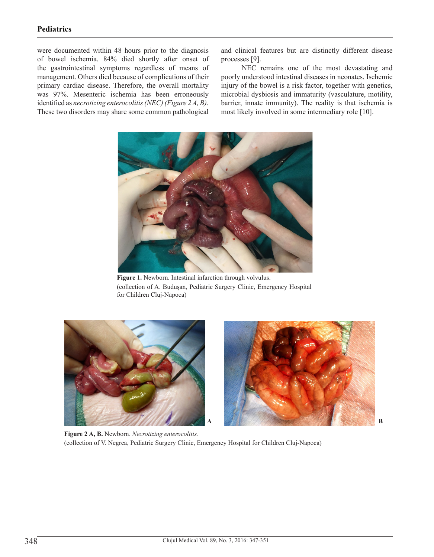# **Pediatrics**

were documented within 48 hours prior to the diagnosis of bowel ischemia. 84% died shortly after onset of the gastrointestinal symptoms regardless of means of management. Others died because of complications of their primary cardiac disease. Therefore, the overall mortality was 97%. Mesenteric ischemia has been erroneously identified as *necrotizing enterocolitis (NEC) (Figure 2 A, B).* These two disorders may share some common pathological

and clinical features but are distinctly different disease processes [9].

NEC remains one of the most devastating and poorly understood intestinal diseases in neonates. Ischemic injury of the bowel is a risk factor, together with genetics, microbial dysbiosis and immaturity (vasculature, motility, barrier, innate immunity). The reality is that ischemia is most likely involved in some intermediary role [10].



**Figure 1.** Newborn. Intestinal infarction through volvulus. (collection of A. Budușan, Pediatric Surgery Clinic, Emergency Hospital for Children Cluj-Napoca)





**Figure 2 A, B.** Newborn. *Necrotizing enterocolitis.* (collection of V. Negrea, Pediatric Surgery Clinic, Emergency Hospital for Children Cluj-Napoca)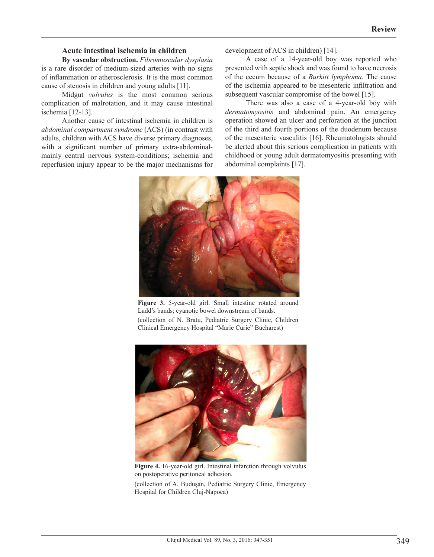### **Acute intestinal ischemia in children**

**By vascular obstruction.** *Fibromuscular dysplasia* is a rare disorder of medium-sized arteries with no signs of inflammation or atherosclerosis. It is the most common cause of stenosis in children and young adults [11].

Midgut *volvulus* is the most common serious complication of malrotation, and it may cause intestinal ischemia [12-13].

Another cause of intestinal ischemia in children is *abdominal compartment syndrome* (ACS) (in contrast with adults, children with ACS have diverse primary diagnoses, with a significant number of primary extra-abdominalmainly central nervous system-conditions; ischemia and reperfusion injury appear to be the major mechanisms for development of ACS in children) [14].

A case of a 14-year-old boy was reported who presented with septic shock and was found to have necrosis of the cecum because of a *Burkitt lymphoma*. The cause of the ischemia appeared to be mesenteric infiltration and subsequent vascular compromise of the bowel [15].

There was also a case of a 4-year-old boy with *dermatomyositis* and abdominal pain. An emergency operation showed an ulcer and perforation at the junction of the third and fourth portions of the duodenum because of the mesenteric vasculitis [16]. Rheumatologists should be alerted about this serious complication in patients with childhood or young adult dermatomyositis presenting with abdominal complaints [17].



**Figure 3.** 5-year-old girl. Small intestine rotated around Ladd's bands; cyanotic bowel downstream of bands. (collection of N. Bratu, Pediatric Surgery Clinic, Children Clinical Emergency Hospital "Marie Curie" Bucharest)



**Figure 4.** 16-year-old girl. Intestinal infarction through volvulus on postoperative peritoneal adhesion.

(collection of A. Budușan, Pediatric Surgery Clinic, Emergency Hospital for Children Cluj-Napoca)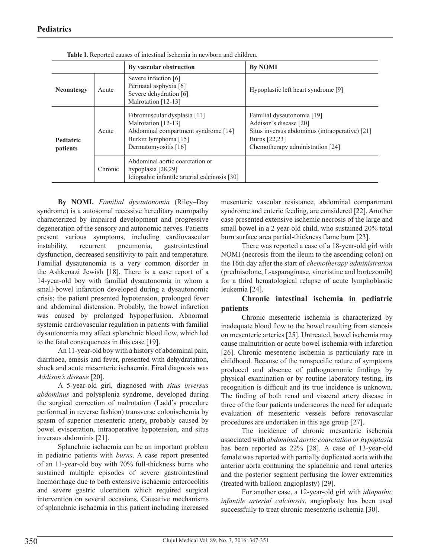|                              |         | By vascular obstruction                                                                                                                     | <b>By NOMI</b>                                                                                                                                              |
|------------------------------|---------|---------------------------------------------------------------------------------------------------------------------------------------------|-------------------------------------------------------------------------------------------------------------------------------------------------------------|
| <b>Neonatesgy</b>            | Acute   | Severe infection [6]<br>Perinatal asphyxia [6]<br>Severe dehydration [6]<br>Malrotation [12-13]                                             | Hypoplastic left heart syndrome [9]                                                                                                                         |
| <b>Pediatric</b><br>patients | Acute   | Fibromuscular dysplasia [11]<br>Malrotation [12-13]<br>Abdominal compartment syndrome [14]<br>Burkitt lymphoma [15]<br>Dermatomyositis [16] | Familial dysautonomia [19]<br>Addison's disease [20]<br>Situs inversus abdominus (intraoperative) [21]<br>Burns [22,23]<br>Chemotherapy administration [24] |
|                              | Chronic | Abdominal aortic coarctation or<br>hypoplasia $[28,29]$<br>Idiopathic infantile arterial calcinosis [30]                                    |                                                                                                                                                             |

**Table I.** Reported causes of intestinal ischemia in newborn and children.

**By NOMI.** *Familial dysautonomia* (Riley–Day syndrome) is a autosomal recessive hereditary neuropathy characterized by impaired development and progressive degeneration of the sensory and autonomic nerves. Patients present various symptoms, including cardiovascular instability, recurrent pneumonia, gastrointestinal dysfunction, decreased sensitivity to pain and temperature. Familial dysautonomia is a very common disorder in the Ashkenazi Jewish [18]. There is a case report of a 14-year-old boy with familial dysautonomia in whom a small-bowel infarction developed during a dysautonomic crisis; the patient presented hypotension, prolonged fever and abdominal distension. Probably, the bowel infarction was caused by prolonged hypoperfusion. Abnormal systemic cardiovascular regulation in patients with familial dysautonomia may affect splanchnic blood flow, which led to the fatal consequences in this case [19].

An 11-year-old boy with a history of abdominal pain, diarrhoea, emesis and fever, presented with dehydratation, shock and acute mesenteric ischaemia. Final diagnosis was *Addison's disease* [20].

A 5-year-old girl, diagnosed with *situs inversus abdominus* and polysplenia syndrome, developed during the surgical correction of malrotation (Ladd's procedure performed in reverse fashion) transverse colonischemia by spasm of superior mesenteric artery, probably caused by bowel evisceration, intraoperative hypotension, and situs inversus abdominis [21].

Splanchnic ischaemia can be an important problem in pediatric patients with *burns*. A case report presented of an 11-year-old boy with 70% full-thickness burns who sustained multiple episodes of severe gastrointestinal haemorrhage due to both extensive ischaemic enterocolitis and severe gastric ulceration which required surgical intervention on several occasions. Causative mechanisms of splanchnic ischaemia in this patient including increased

mesenteric vascular resistance, abdominal compartment syndrome and enteric feeding, are considered [22]. Another case presented extensive ischemic necrosis of the large and small bowel in a 2 year-old child, who sustained 20% total burn surface area partial-thickness flame burn [23].

There was reported a case of a 18-year-old girl with NOMI (necrosis from the ileum to the ascending colon) on the 16th day after the start of *chemotherapy administration*  (prednisolone, L-asparaginase, vincristine and bortezomib) for a third hematological relapse of acute lymphoblastic leukemia [24].

## **Chronic intestinal ischemia in pediatric patients**

Chronic mesenteric ischemia is characterized by inadequate blood flow to the bowel resulting from stenosis on mesenteric arteries [25]. Untreated, bowel ischemia may cause malnutrition or acute bowel ischemia with infarction [26]. Chronic mesenteric ischemia is particularly rare in childhood. Because of the nonspecific nature of symptoms produced and absence of pathognomonic findings by physical examination or by routine laboratory testing, its recognition is difficult and its true incidence is unknown. The finding of both renal and visceral artery disease in three of the four patients underscores the need for adequate evaluation of mesenteric vessels before renovascular procedures are undertaken in this age group [27].

The incidence of chronic mesenteric ischemia associated with *abdominal aortic coarctation or hypoplasia* has been reported as 22% [28]. A case of 13-year-old female was reported with partially duplicated aorta with the anterior aorta containing the splanchnic and renal arteries and the posterior segment perfusing the lower extremities (treated with balloon angioplasty) [29].

For another case, a 12-year-old girl with *idiopathic infantile arterial calcinosis*, angioplasty has been used successfully to treat chronic mesenteric ischemia [30].